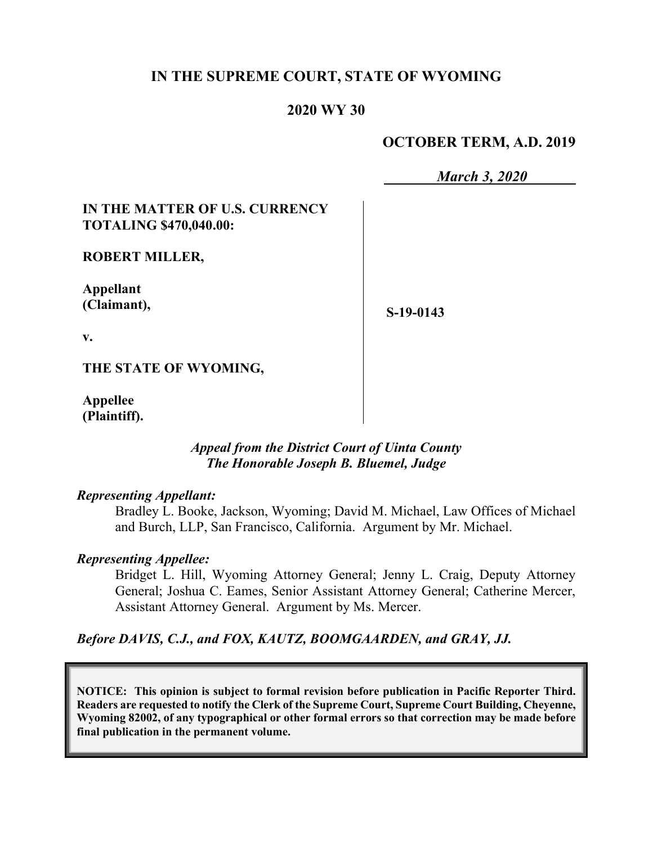## **IN THE SUPREME COURT, STATE OF WYOMING**

### **2020 WY 30**

### **OCTOBER TERM, A.D. 2019**

*March 3, 2020*

### **IN THE MATTER OF U.S. CURRENCY TOTALING \$470,040.00:**

#### **ROBERT MILLER,**

**Appellant (Claimant),**

**S-19-0143**

**v.**

**THE STATE OF WYOMING,**

**Appellee (Plaintiff).**

### *Appeal from the District Court of Uinta County The Honorable Joseph B. Bluemel, Judge*

#### *Representing Appellant:*

Bradley L. Booke, Jackson, Wyoming; David M. Michael, Law Offices of Michael and Burch, LLP, San Francisco, California. Argument by Mr. Michael.

### *Representing Appellee:*

Bridget L. Hill, Wyoming Attorney General; Jenny L. Craig, Deputy Attorney General; Joshua C. Eames, Senior Assistant Attorney General; Catherine Mercer, Assistant Attorney General. Argument by Ms. Mercer.

*Before DAVIS, C.J., and FOX, KAUTZ, BOOMGAARDEN, and GRAY, JJ.*

**NOTICE: This opinion is subject to formal revision before publication in Pacific Reporter Third. Readers are requested to notify the Clerk of the Supreme Court, Supreme Court Building, Cheyenne, Wyoming 82002, of any typographical or other formal errors so that correction may be made before final publication in the permanent volume.**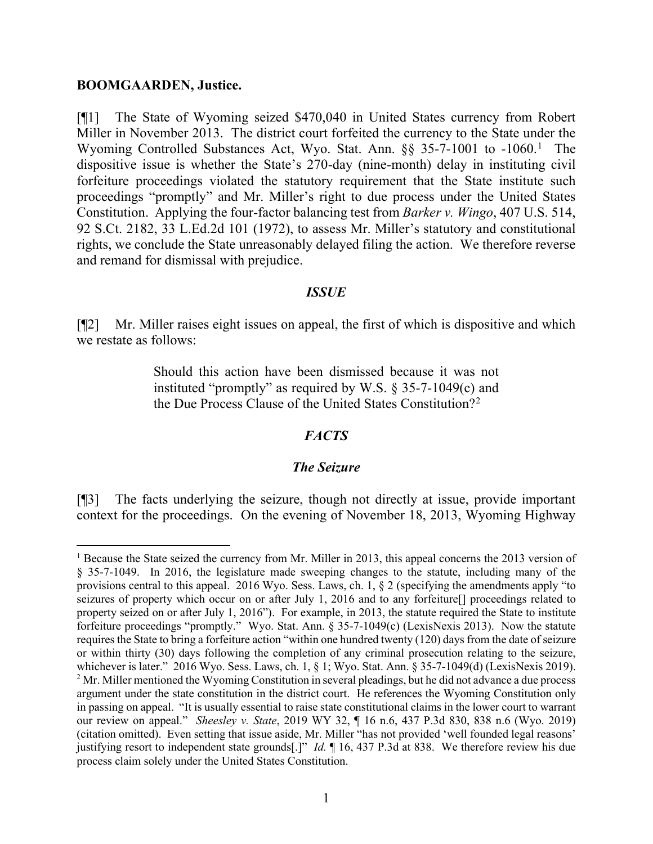#### **BOOMGAARDEN, Justice.**

[¶1] The State of Wyoming seized \$470,040 in United States currency from Robert Miller in November 2013. The district court forfeited the currency to the State under the Wyoming Controlled Substances Act, Wyo. Stat. Ann. §§ 35-7-[1](#page-1-0)001 to -1060.<sup>1</sup> The dispositive issue is whether the State's 270-day (nine-month) delay in instituting civil forfeiture proceedings violated the statutory requirement that the State institute such proceedings "promptly" and Mr. Miller's right to due process under the United States Constitution. Applying the four-factor balancing test from *Barker v. Wingo*, 407 U.S. 514, 92 S.Ct. 2182, 33 L.Ed.2d 101 (1972), to assess Mr. Miller's statutory and constitutional rights, we conclude the State unreasonably delayed filing the action. We therefore reverse and remand for dismissal with prejudice.

#### *ISSUE*

[¶2] Mr. Miller raises eight issues on appeal, the first of which is dispositive and which we restate as follows:

> Should this action have been dismissed because it was not instituted "promptly" as required by W.S. § 35-7-1049(c) and the Due Process Clause of the United States Constitution?[2](#page-1-1)

### *FACTS*

### *The Seizure*

[¶3] The facts underlying the seizure, though not directly at issue, provide important context for the proceedings. On the evening of November 18, 2013, Wyoming Highway

<span id="page-1-1"></span><span id="page-1-0"></span><sup>&</sup>lt;sup>1</sup> Because the State seized the currency from Mr. Miller in 2013, this appeal concerns the 2013 version of § 35-7-1049. In 2016, the legislature made sweeping changes to the statute, including many of the provisions central to this appeal. 2016 Wyo. Sess. Laws, ch. 1, § 2 (specifying the amendments apply "to seizures of property which occur on or after July 1, 2016 and to any forfeiture<sup>[]</sup> proceedings related to property seized on or after July 1, 2016"). For example, in 2013, the statute required the State to institute forfeiture proceedings "promptly." Wyo. Stat. Ann. § 35-7-1049(c) (LexisNexis 2013). Now the statute requires the State to bring a forfeiture action "within one hundred twenty (120) days from the date of seizure or within thirty (30) days following the completion of any criminal prosecution relating to the seizure, whichever is later." 2016 Wyo. Sess. Laws, ch. 1, § 1; Wyo. Stat. Ann. § 35-7-1049(d) (LexisNexis 2019). <sup>2</sup> Mr. Miller mentioned the Wyoming Constitution in several pleadings, but he did not advance a due process argument under the state constitution in the district court. He references the Wyoming Constitution only in passing on appeal. "It is usually essential to raise state constitutional claims in the lower court to warrant our review on appeal." *Sheesley v. State*, 2019 WY 32, ¶ 16 n.6, 437 P.3d 830, 838 n.6 (Wyo. 2019) (citation omitted). Even setting that issue aside, Mr. Miller "has not provided 'well founded legal reasons' justifying resort to independent state grounds[.]" *Id.* ¶ 16, 437 P.3d at 838. We therefore review his due process claim solely under the United States Constitution.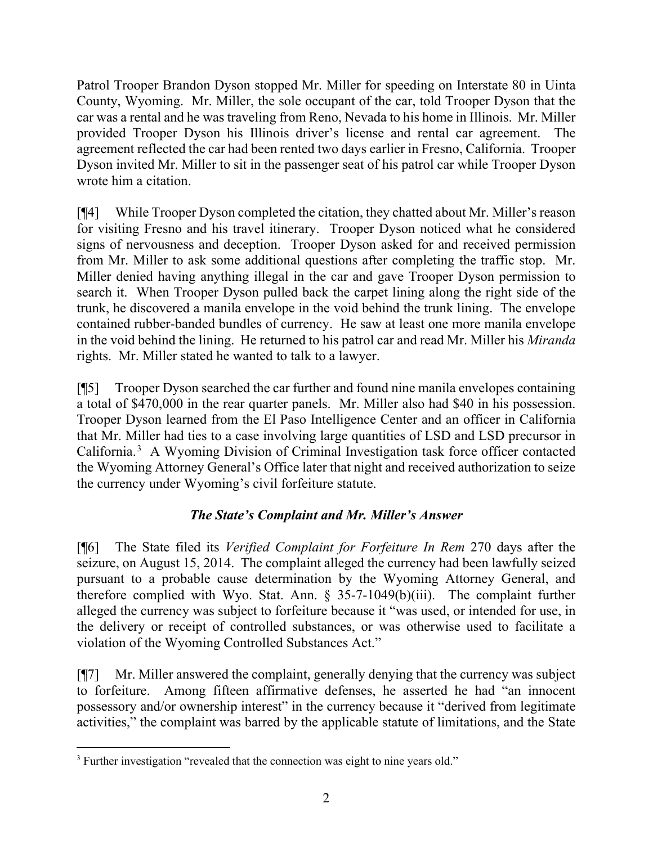Patrol Trooper Brandon Dyson stopped Mr. Miller for speeding on Interstate 80 in Uinta County, Wyoming. Mr. Miller, the sole occupant of the car, told Trooper Dyson that the car was a rental and he was traveling from Reno, Nevada to his home in Illinois. Mr. Miller provided Trooper Dyson his Illinois driver's license and rental car agreement. The agreement reflected the car had been rented two days earlier in Fresno, California. Trooper Dyson invited Mr. Miller to sit in the passenger seat of his patrol car while Trooper Dyson wrote him a citation.

[¶4] While Trooper Dyson completed the citation, they chatted about Mr. Miller's reason for visiting Fresno and his travel itinerary. Trooper Dyson noticed what he considered signs of nervousness and deception. Trooper Dyson asked for and received permission from Mr. Miller to ask some additional questions after completing the traffic stop. Mr. Miller denied having anything illegal in the car and gave Trooper Dyson permission to search it. When Trooper Dyson pulled back the carpet lining along the right side of the trunk, he discovered a manila envelope in the void behind the trunk lining. The envelope contained rubber-banded bundles of currency. He saw at least one more manila envelope in the void behind the lining. He returned to his patrol car and read Mr. Miller his *Miranda* rights. Mr. Miller stated he wanted to talk to a lawyer.

[¶5] Trooper Dyson searched the car further and found nine manila envelopes containing a total of \$470,000 in the rear quarter panels. Mr. Miller also had \$40 in his possession. Trooper Dyson learned from the El Paso Intelligence Center and an officer in California that Mr. Miller had ties to a case involving large quantities of LSD and LSD precursor in California. [3](#page-2-0) A Wyoming Division of Criminal Investigation task force officer contacted the Wyoming Attorney General's Office later that night and received authorization to seize the currency under Wyoming's civil forfeiture statute.

# *The State's Complaint and Mr. Miller's Answer*

[¶6] The State filed its *Verified Complaint for Forfeiture In Rem* 270 days after the seizure, on August 15, 2014. The complaint alleged the currency had been lawfully seized pursuant to a probable cause determination by the Wyoming Attorney General, and therefore complied with Wyo. Stat. Ann. § 35-7-1049(b)(iii). The complaint further alleged the currency was subject to forfeiture because it "was used, or intended for use, in the delivery or receipt of controlled substances, or was otherwise used to facilitate a violation of the Wyoming Controlled Substances Act."

[¶7] Mr. Miller answered the complaint, generally denying that the currency was subject to forfeiture. Among fifteen affirmative defenses, he asserted he had "an innocent possessory and/or ownership interest" in the currency because it "derived from legitimate activities," the complaint was barred by the applicable statute of limitations, and the State

<span id="page-2-0"></span><sup>&</sup>lt;sup>3</sup> Further investigation "revealed that the connection was eight to nine years old."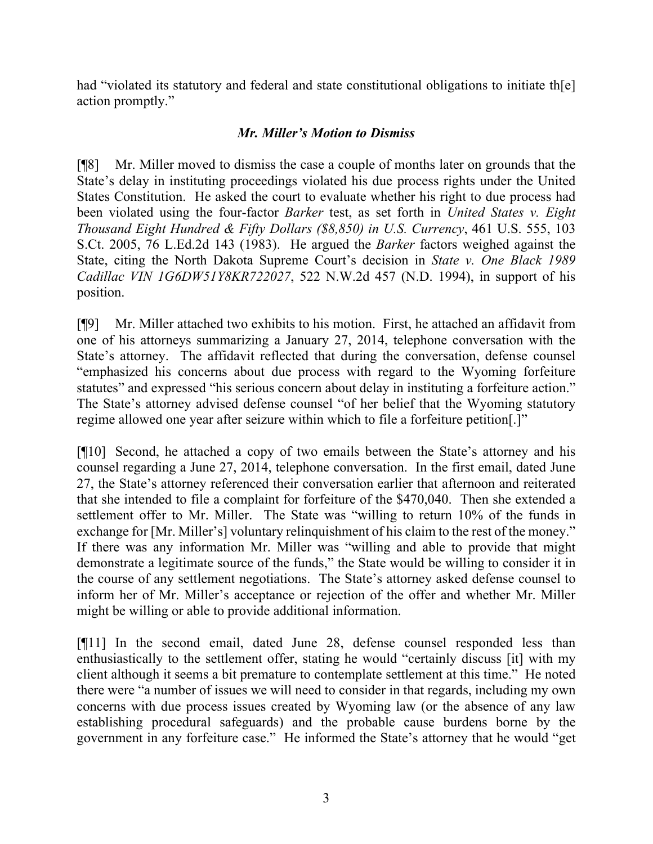had "violated its statutory and federal and state constitutional obligations to initiate the action promptly."

## *Mr. Miller's Motion to Dismiss*

[¶8] Mr. Miller moved to dismiss the case a couple of months later on grounds that the State's delay in instituting proceedings violated his due process rights under the United States Constitution. He asked the court to evaluate whether his right to due process had been violated using the four-factor *Barker* test, as set forth in *United States v. Eight Thousand Eight Hundred & Fifty Dollars (\$8,850) in U.S. Currency*, 461 U.S. 555, 103 S.Ct. 2005, 76 L.Ed.2d 143 (1983). He argued the *Barker* factors weighed against the State, citing the North Dakota Supreme Court's decision in *State v. One Black 1989 Cadillac VIN 1G6DW51Y8KR722027*, 522 N.W.2d 457 (N.D. 1994), in support of his position.

[¶9] Mr. Miller attached two exhibits to his motion. First, he attached an affidavit from one of his attorneys summarizing a January 27, 2014, telephone conversation with the State's attorney. The affidavit reflected that during the conversation, defense counsel "emphasized his concerns about due process with regard to the Wyoming forfeiture statutes" and expressed "his serious concern about delay in instituting a forfeiture action." The State's attorney advised defense counsel "of her belief that the Wyoming statutory regime allowed one year after seizure within which to file a forfeiture petition[.]"

[¶10] Second, he attached a copy of two emails between the State's attorney and his counsel regarding a June 27, 2014, telephone conversation. In the first email, dated June 27, the State's attorney referenced their conversation earlier that afternoon and reiterated that she intended to file a complaint for forfeiture of the \$470,040. Then she extended a settlement offer to Mr. Miller. The State was "willing to return 10% of the funds in exchange for [Mr. Miller's] voluntary relinquishment of his claim to the rest of the money." If there was any information Mr. Miller was "willing and able to provide that might demonstrate a legitimate source of the funds," the State would be willing to consider it in the course of any settlement negotiations. The State's attorney asked defense counsel to inform her of Mr. Miller's acceptance or rejection of the offer and whether Mr. Miller might be willing or able to provide additional information.

[¶11] In the second email, dated June 28, defense counsel responded less than enthusiastically to the settlement offer, stating he would "certainly discuss [it] with my client although it seems a bit premature to contemplate settlement at this time." He noted there were "a number of issues we will need to consider in that regards, including my own concerns with due process issues created by Wyoming law (or the absence of any law establishing procedural safeguards) and the probable cause burdens borne by the government in any forfeiture case." He informed the State's attorney that he would "get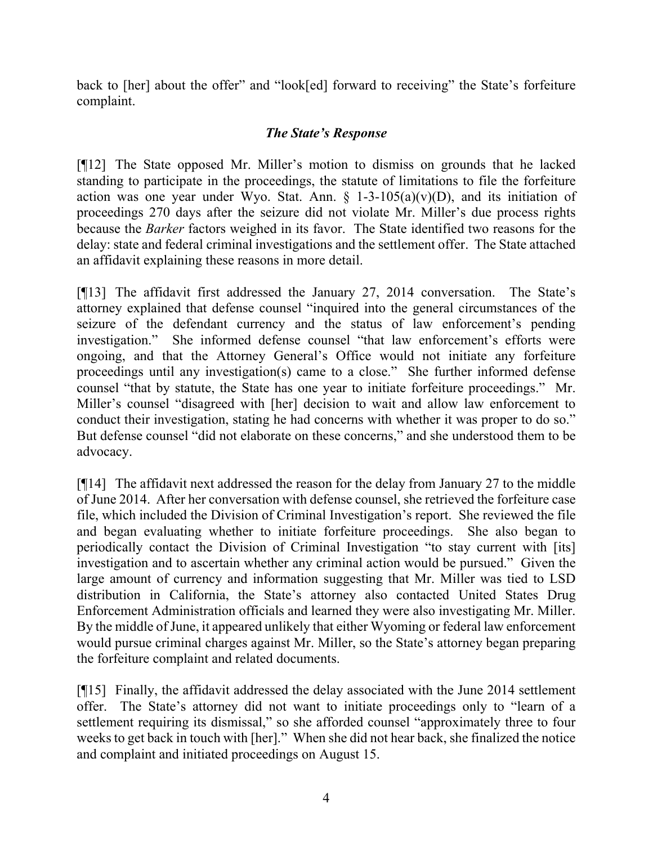back to [her] about the offer" and "look[ed] forward to receiving" the State's forfeiture complaint.

# *The State's Response*

[¶12] The State opposed Mr. Miller's motion to dismiss on grounds that he lacked standing to participate in the proceedings, the statute of limitations to file the forfeiture action was one year under Wyo. Stat. Ann.  $\S$  1-3-105(a)(v)(D), and its initiation of proceedings 270 days after the seizure did not violate Mr. Miller's due process rights because the *Barker* factors weighed in its favor. The State identified two reasons for the delay: state and federal criminal investigations and the settlement offer. The State attached an affidavit explaining these reasons in more detail.

[¶13] The affidavit first addressed the January 27, 2014 conversation. The State's attorney explained that defense counsel "inquired into the general circumstances of the seizure of the defendant currency and the status of law enforcement's pending investigation." She informed defense counsel "that law enforcement's efforts were ongoing, and that the Attorney General's Office would not initiate any forfeiture proceedings until any investigation(s) came to a close." She further informed defense counsel "that by statute, the State has one year to initiate forfeiture proceedings." Mr. Miller's counsel "disagreed with [her] decision to wait and allow law enforcement to conduct their investigation, stating he had concerns with whether it was proper to do so." But defense counsel "did not elaborate on these concerns," and she understood them to be advocacy.

[¶14] The affidavit next addressed the reason for the delay from January 27 to the middle of June 2014. After her conversation with defense counsel, she retrieved the forfeiture case file, which included the Division of Criminal Investigation's report. She reviewed the file and began evaluating whether to initiate forfeiture proceedings. She also began to periodically contact the Division of Criminal Investigation "to stay current with [its] investigation and to ascertain whether any criminal action would be pursued." Given the large amount of currency and information suggesting that Mr. Miller was tied to LSD distribution in California, the State's attorney also contacted United States Drug Enforcement Administration officials and learned they were also investigating Mr. Miller. By the middle of June, it appeared unlikely that either Wyoming or federal law enforcement would pursue criminal charges against Mr. Miller, so the State's attorney began preparing the forfeiture complaint and related documents.

[¶15] Finally, the affidavit addressed the delay associated with the June 2014 settlement offer. The State's attorney did not want to initiate proceedings only to "learn of a settlement requiring its dismissal," so she afforded counsel "approximately three to four weeks to get back in touch with [her]." When she did not hear back, she finalized the notice and complaint and initiated proceedings on August 15.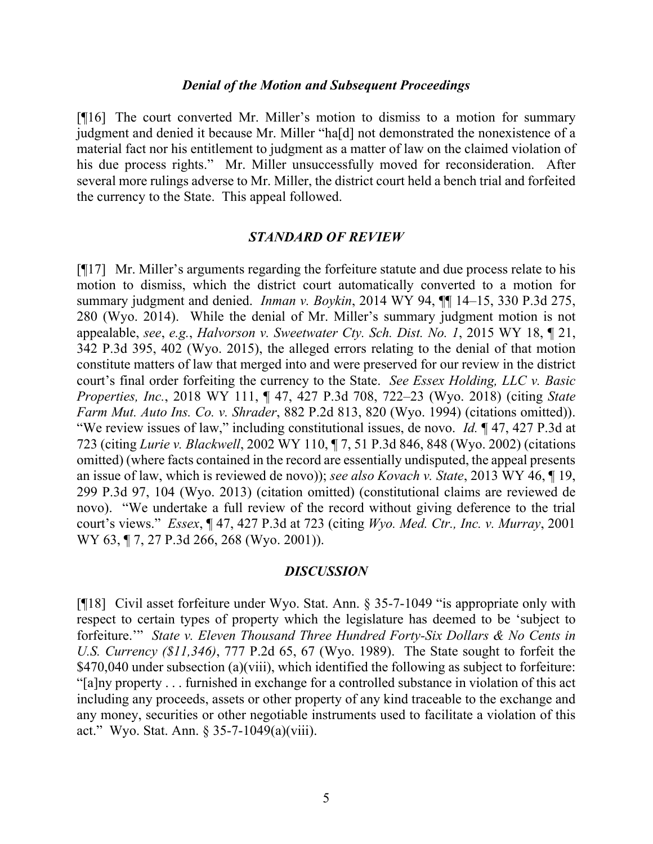#### *Denial of the Motion and Subsequent Proceedings*

[¶16] The court converted Mr. Miller's motion to dismiss to a motion for summary judgment and denied it because Mr. Miller "ha[d] not demonstrated the nonexistence of a material fact nor his entitlement to judgment as a matter of law on the claimed violation of his due process rights." Mr. Miller unsuccessfully moved for reconsideration. After several more rulings adverse to Mr. Miller, the district court held a bench trial and forfeited the currency to the State. This appeal followed.

#### *STANDARD OF REVIEW*

[¶17] Mr. Miller's arguments regarding the forfeiture statute and due process relate to his motion to dismiss, which the district court automatically converted to a motion for summary judgment and denied. *Inman v. Boykin*, 2014 WY 94, ¶¶ 14–15, 330 P.3d 275, 280 (Wyo. 2014). While the denial of Mr. Miller's summary judgment motion is not appealable, *see*, *e.g.*, *Halvorson v. Sweetwater Cty. Sch. Dist. No. 1*, 2015 WY 18, ¶ 21, 342 P.3d 395, 402 (Wyo. 2015), the alleged errors relating to the denial of that motion constitute matters of law that merged into and were preserved for our review in the district court's final order forfeiting the currency to the State. *See Essex Holding, LLC v. Basic Properties, Inc.*, 2018 WY 111, ¶ 47, 427 P.3d 708, 722–23 (Wyo. 2018) (citing *State Farm Mut. Auto Ins. Co. v. Shrader*, 882 P.2d 813, 820 (Wyo. 1994) (citations omitted)). "We review issues of law," including constitutional issues, de novo. *Id.* ¶ 47, 427 P.3d at 723 (citing *Lurie v. Blackwell*, 2002 WY 110, ¶ 7, 51 P.3d 846, 848 (Wyo. 2002) (citations omitted) (where facts contained in the record are essentially undisputed, the appeal presents an issue of law, which is reviewed de novo)); *see also Kovach v. State*, 2013 WY 46, ¶ 19, 299 P.3d 97, 104 (Wyo. 2013) (citation omitted) (constitutional claims are reviewed de novo). "We undertake a full review of the record without giving deference to the trial court's views." *Essex*, ¶ 47, 427 P.3d at 723 (citing *Wyo. Med. Ctr., Inc. v. Murray*, 2001 WY 63, ¶ 7, 27 P.3d 266, 268 (Wyo. 2001)).

#### *DISCUSSION*

[¶18] Civil asset forfeiture under Wyo. Stat. Ann. § 35-7-1049 "is appropriate only with respect to certain types of property which the legislature has deemed to be 'subject to forfeiture.'" *State v. Eleven Thousand Three Hundred Forty-Six Dollars & No Cents in U.S. Currency (\$11,346)*, 777 P.2d 65, 67 (Wyo. 1989). The State sought to forfeit the \$470,040 under subsection (a)(viii), which identified the following as subject to forfeiture: "[a]ny property . . . furnished in exchange for a controlled substance in violation of this act including any proceeds, assets or other property of any kind traceable to the exchange and any money, securities or other negotiable instruments used to facilitate a violation of this act." Wyo. Stat. Ann. § 35-7-1049(a)(viii).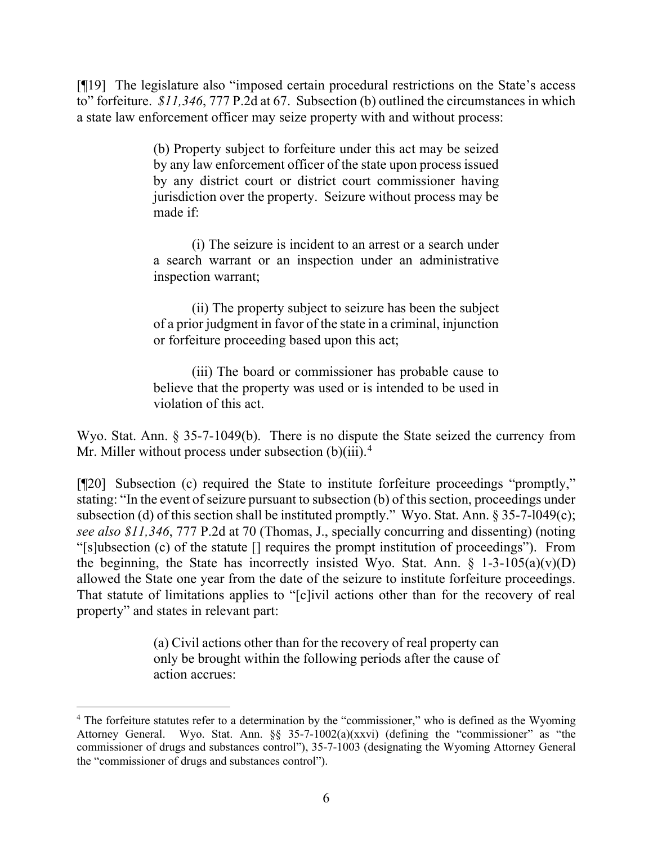[¶19] The legislature also "imposed certain procedural restrictions on the State's access to" forfeiture. *\$11,346*, 777 P.2d at 67. Subsection (b) outlined the circumstances in which a state law enforcement officer may seize property with and without process:

> (b) Property subject to forfeiture under this act may be seized by any law enforcement officer of the state upon process issued by any district court or district court commissioner having jurisdiction over the property. Seizure without process may be made if:

> (i) The seizure is incident to an arrest or a search under a search warrant or an inspection under an administrative inspection warrant;

> (ii) The property subject to seizure has been the subject of a prior judgment in favor of the state in a criminal, injunction or forfeiture proceeding based upon this act;

> (iii) The board or commissioner has probable cause to believe that the property was used or is intended to be used in violation of this act.

Wyo. Stat. Ann. § 35-7-1049(b). There is no dispute the State seized the currency from Mr. Miller without process under subsection  $(b)(iii)$ .<sup>[4](#page-6-0)</sup>

[¶20] Subsection (c) required the State to institute forfeiture proceedings "promptly," stating: "In the event of seizure pursuant to subsection (b) of this section, proceedings under subsection (d) of this section shall be instituted promptly." Wyo. Stat. Ann. § 35-7-l049(c); *see also \$11,346*, 777 P.2d at 70 (Thomas, J., specially concurring and dissenting) (noting "[s]ubsection (c) of the statute [] requires the prompt institution of proceedings"). From the beginning, the State has incorrectly insisted Wyo. Stat. Ann.  $\S$  1-3-105(a)(v)(D) allowed the State one year from the date of the seizure to institute forfeiture proceedings. That statute of limitations applies to "[c]ivil actions other than for the recovery of real property" and states in relevant part:

> (a) Civil actions other than for the recovery of real property can only be brought within the following periods after the cause of action accrues:

<span id="page-6-0"></span><sup>&</sup>lt;sup>4</sup> The forfeiture statutes refer to a determination by the "commissioner," who is defined as the Wyoming Attorney General. Wyo. Stat. Ann. §§ 35-7-1002(a)(xxvi) (defining the "commissioner" as "the commissioner of drugs and substances control"), 35-7-1003 (designating the Wyoming Attorney General the "commissioner of drugs and substances control").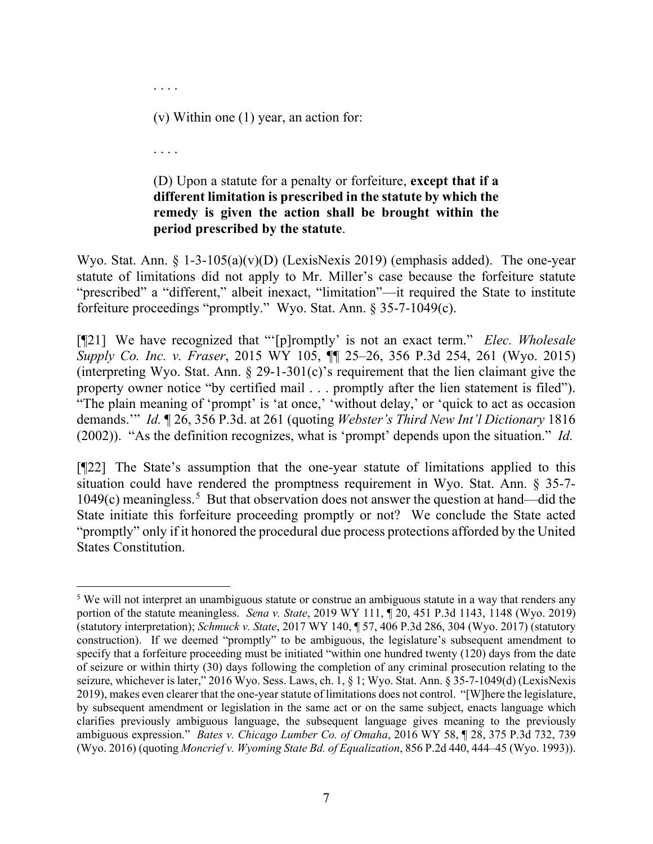(v) Within one (1) year, an action for:

. . . .

. . . .

## (D) Upon a statute for a penalty or forfeiture, **except that if a different limitation is prescribed in the statute by which the remedy is given the action shall be brought within the period prescribed by the statute**.

Wyo. Stat. Ann.  $\S$  1-3-105(a)(v)(D) (LexisNexis 2019) (emphasis added). The one-year statute of limitations did not apply to Mr. Miller's case because the forfeiture statute "prescribed" a "different," albeit inexact, "limitation"—it required the State to institute forfeiture proceedings "promptly." Wyo. Stat. Ann. § 35-7-1049(c).

[¶21] We have recognized that "'[p]romptly' is not an exact term." *Elec. Wholesale Supply Co. Inc. v. Fraser*, 2015 WY 105, ¶¶ 25–26, 356 P.3d 254, 261 (Wyo. 2015) (interpreting Wyo. Stat. Ann.  $\S$  29-1-301(c)'s requirement that the lien claimant give the property owner notice "by certified mail . . . promptly after the lien statement is filed"). "The plain meaning of 'prompt' is 'at once,' 'without delay,' or 'quick to act as occasion demands.'" *Id.* ¶ 26, 356 P.3d. at 261 (quoting *Webster's Third New Int'l Dictionary* 1816 (2002)). "As the definition recognizes, what is 'prompt' depends upon the situation." *Id.*

[¶22] The State's assumption that the one-year statute of limitations applied to this situation could have rendered the promptness requirement in Wyo. Stat. Ann. § 35-7-  $1049(c)$  meaningless.<sup>[5](#page-7-0)</sup> But that observation does not answer the question at hand—did the State initiate this forfeiture proceeding promptly or not? We conclude the State acted "promptly" only if it honored the procedural due process protections afforded by the United States Constitution.

<span id="page-7-0"></span><sup>&</sup>lt;sup>5</sup> We will not interpret an unambiguous statute or construe an ambiguous statute in a way that renders any portion of the statute meaningless. *Sena v. State*, 2019 WY 111, ¶ 20, 451 P.3d 1143, 1148 (Wyo. 2019) (statutory interpretation); *Schmuck v. State*, 2017 WY 140, ¶ 57, 406 P.3d 286, 304 (Wyo. 2017) (statutory construction). If we deemed "promptly" to be ambiguous, the legislature's subsequent amendment to specify that a forfeiture proceeding must be initiated "within one hundred twenty (120) days from the date of seizure or within thirty (30) days following the completion of any criminal prosecution relating to the seizure, whichever is later," 2016 Wyo. Sess. Laws, ch. 1, § 1; Wyo. Stat. Ann. § 35-7-1049(d) (LexisNexis 2019), makes even clearer that the one-year statute of limitations does not control. "[W]here the legislature, by subsequent amendment or legislation in the same act or on the same subject, enacts language which clarifies previously ambiguous language, the subsequent language gives meaning to the previously ambiguous expression." *Bates v. Chicago Lumber Co. of Omaha*, 2016 WY 58, ¶ 28, 375 P.3d 732, 739 (Wyo. 2016) (quoting *Moncrief v. Wyoming State Bd. of Equalization*, 856 P.2d 440, 444–45 (Wyo. 1993)).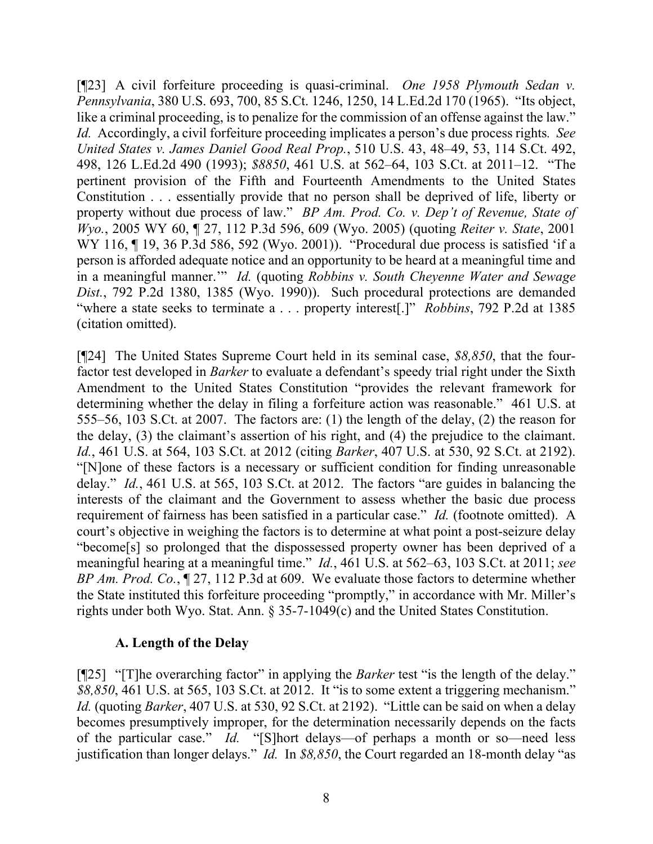[¶23] A civil forfeiture proceeding is quasi-criminal. *One 1958 Plymouth Sedan v. Pennsylvania*, 380 U.S. 693, 700, 85 S.Ct. 1246, 1250, 14 L.Ed.2d 170 (1965). "Its object, like a criminal proceeding, is to penalize for the commission of an offense against the law." *Id.* Accordingly, a civil forfeiture proceeding implicates a person's due process rights*. See United States v. James Daniel Good Real Prop.*, 510 U.S. 43, 48–49, 53, 114 S.Ct. 492, 498, 126 L.Ed.2d 490 (1993); *\$8850*, 461 U.S. at 562–64, 103 S.Ct. at 2011–12. "The pertinent provision of the Fifth and Fourteenth Amendments to the United States Constitution . . . essentially provide that no person shall be deprived of life, liberty or property without due process of law." *BP Am. Prod. Co. v. Dep't of Revenue, State of Wyo.*, 2005 WY 60, ¶ 27, 112 P.3d 596, 609 (Wyo. 2005) (quoting *Reiter v. State*, 2001 WY 116, 19, 36 P.3d 586, 592 (Wyo. 2001)). "Procedural due process is satisfied 'if a person is afforded adequate notice and an opportunity to be heard at a meaningful time and in a meaningful manner.'" *Id.* (quoting *Robbins v. South Cheyenne Water and Sewage Dist.*, 792 P.2d 1380, 1385 (Wyo. 1990)). Such procedural protections are demanded "where a state seeks to terminate a . . . property interest[.]" *Robbins*, 792 P.2d at 1385 (citation omitted).

[¶24] The United States Supreme Court held in its seminal case, *\$8,850*, that the fourfactor test developed in *Barker* to evaluate a defendant's speedy trial right under the Sixth Amendment to the United States Constitution "provides the relevant framework for determining whether the delay in filing a forfeiture action was reasonable." 461 U.S. at 555–56, 103 S.Ct. at 2007. The factors are: (1) the length of the delay, (2) the reason for the delay, (3) the claimant's assertion of his right, and (4) the prejudice to the claimant. *Id.*, 461 U.S. at 564, 103 S.Ct. at 2012 (citing *Barker*, 407 U.S. at 530, 92 S.Ct. at 2192). "[N]one of these factors is a necessary or sufficient condition for finding unreasonable delay." *Id.*, 461 U.S. at 565, 103 S.Ct. at 2012. The factors "are guides in balancing the interests of the claimant and the Government to assess whether the basic due process requirement of fairness has been satisfied in a particular case." *Id.* (footnote omitted). A court's objective in weighing the factors is to determine at what point a post-seizure delay "become[s] so prolonged that the dispossessed property owner has been deprived of a meaningful hearing at a meaningful time." *Id.*, 461 U.S. at 562–63, 103 S.Ct. at 2011; *see BP Am. Prod. Co.*, ¶ 27, 112 P.3d at 609. We evaluate those factors to determine whether the State instituted this forfeiture proceeding "promptly," in accordance with Mr. Miller's rights under both Wyo. Stat. Ann. § 35-7-1049(c) and the United States Constitution.

### **A. Length of the Delay**

[¶25] "[T]he overarching factor" in applying the *Barker* test "is the length of the delay." *\$8,850*, 461 U.S. at 565, 103 S.Ct. at 2012. It "is to some extent a triggering mechanism." *Id.* (quoting *Barker*, 407 U.S. at 530, 92 S.Ct. at 2192). "Little can be said on when a delay becomes presumptively improper, for the determination necessarily depends on the facts of the particular case." *Id.* "[S]hort delays—of perhaps a month or so—need less justification than longer delays." *Id.* In *\$8,850*, the Court regarded an 18-month delay "as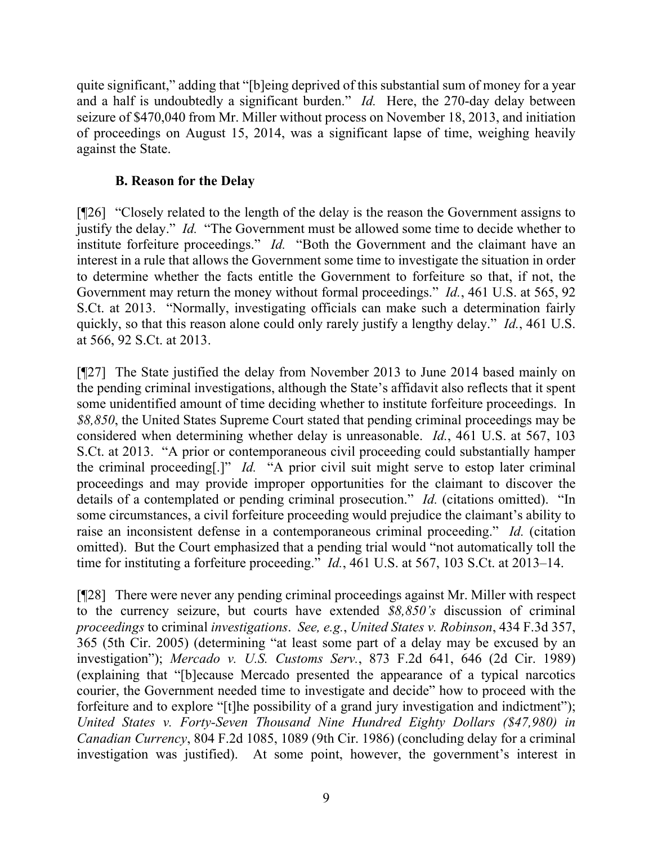quite significant," adding that "[b]eing deprived of this substantial sum of money for a year and a half is undoubtedly a significant burden." *Id.* Here, the 270-day delay between seizure of \$470,040 from Mr. Miller without process on November 18, 2013, and initiation of proceedings on August 15, 2014, was a significant lapse of time, weighing heavily against the State.

## **B. Reason for the Delay**

[¶26] "Closely related to the length of the delay is the reason the Government assigns to justify the delay." *Id.* "The Government must be allowed some time to decide whether to institute forfeiture proceedings." *Id.* "Both the Government and the claimant have an interest in a rule that allows the Government some time to investigate the situation in order to determine whether the facts entitle the Government to forfeiture so that, if not, the Government may return the money without formal proceedings." *Id.*, 461 U.S. at 565, 92 S.Ct. at 2013. "Normally, investigating officials can make such a determination fairly quickly, so that this reason alone could only rarely justify a lengthy delay." *Id.*, 461 U.S. at 566, 92 S.Ct. at 2013.

[¶27] The State justified the delay from November 2013 to June 2014 based mainly on the pending criminal investigations, although the State's affidavit also reflects that it spent some unidentified amount of time deciding whether to institute forfeiture proceedings. In *\$8,850*, the United States Supreme Court stated that pending criminal proceedings may be considered when determining whether delay is unreasonable. *Id.*, 461 U.S. at 567, 103 S.Ct. at 2013. "A prior or contemporaneous civil proceeding could substantially hamper the criminal proceeding[.]" *Id.* "A prior civil suit might serve to estop later criminal proceedings and may provide improper opportunities for the claimant to discover the details of a contemplated or pending criminal prosecution." *Id.* (citations omitted). "In some circumstances, a civil forfeiture proceeding would prejudice the claimant's ability to raise an inconsistent defense in a contemporaneous criminal proceeding." *Id.* (citation omitted). But the Court emphasized that a pending trial would "not automatically toll the time for instituting a forfeiture proceeding.<sup>"</sup> *Id.*, 461 U.S. at 567, 103 S.Ct. at 2013–14.

[¶28] There were never any pending criminal proceedings against Mr. Miller with respect to the currency seizure, but courts have extended *\$8,850's* discussion of criminal *proceedings* to criminal *investigations*. *See, e.g.*, *United States v. Robinson*, 434 F.3d 357, 365 (5th Cir. 2005) (determining "at least some part of a delay may be excused by an investigation"); *Mercado v. U.S. Customs Serv.*, 873 F.2d 641, 646 (2d Cir. 1989) (explaining that "[b]ecause Mercado presented the appearance of a typical narcotics courier, the Government needed time to investigate and decide" how to proceed with the forfeiture and to explore "[t]he possibility of a grand jury investigation and indictment"); *United States v. Forty-Seven Thousand Nine Hundred Eighty Dollars (\$47,980) in Canadian Currency*, 804 F.2d 1085, 1089 (9th Cir. 1986) (concluding delay for a criminal investigation was justified). At some point, however, the government's interest in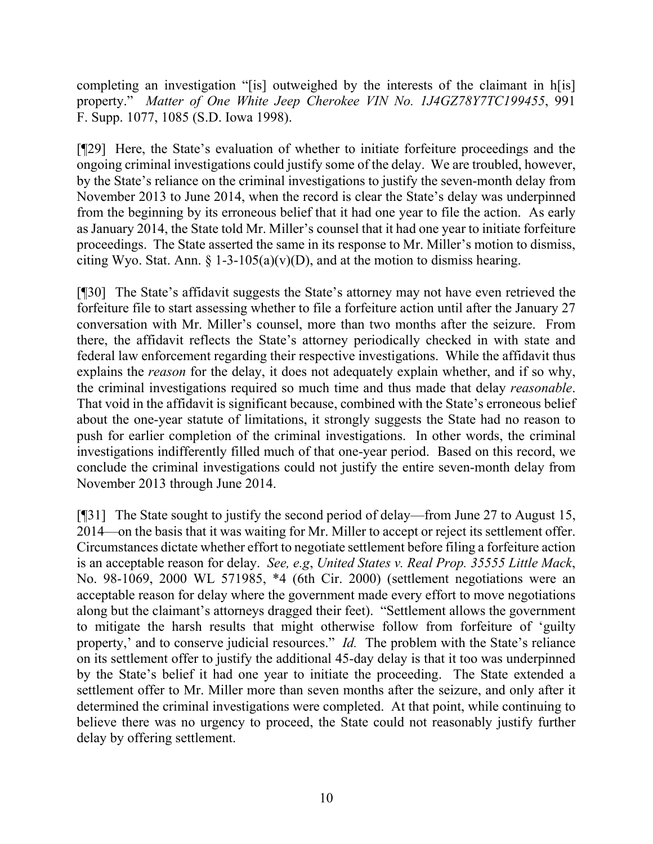completing an investigation "[is] outweighed by the interests of the claimant in h[is] property." *Matter of One White Jeep Cherokee VIN No. 1J4GZ78Y7TC199455*, 991 F. Supp. 1077, 1085 (S.D. Iowa 1998).

[¶29] Here, the State's evaluation of whether to initiate forfeiture proceedings and the ongoing criminal investigations could justify some of the delay. We are troubled, however, by the State's reliance on the criminal investigations to justify the seven-month delay from November 2013 to June 2014, when the record is clear the State's delay was underpinned from the beginning by its erroneous belief that it had one year to file the action. As early as January 2014, the State told Mr. Miller's counsel that it had one year to initiate forfeiture proceedings. The State asserted the same in its response to Mr. Miller's motion to dismiss, citing Wyo. Stat. Ann.  $\S 1-3-105(a)(v)(D)$ , and at the motion to dismiss hearing.

[¶30] The State's affidavit suggests the State's attorney may not have even retrieved the forfeiture file to start assessing whether to file a forfeiture action until after the January 27 conversation with Mr. Miller's counsel, more than two months after the seizure. From there, the affidavit reflects the State's attorney periodically checked in with state and federal law enforcement regarding their respective investigations. While the affidavit thus explains the *reason* for the delay, it does not adequately explain whether, and if so why, the criminal investigations required so much time and thus made that delay *reasonable*. That void in the affidavit is significant because, combined with the State's erroneous belief about the one-year statute of limitations, it strongly suggests the State had no reason to push for earlier completion of the criminal investigations. In other words, the criminal investigations indifferently filled much of that one-year period. Based on this record, we conclude the criminal investigations could not justify the entire seven-month delay from November 2013 through June 2014.

[¶31] The State sought to justify the second period of delay—from June 27 to August 15, 2014—on the basis that it was waiting for Mr. Miller to accept or reject its settlement offer. Circumstances dictate whether effort to negotiate settlement before filing a forfeiture action is an acceptable reason for delay. *See, e.g*, *United States v. Real Prop. 35555 Little Mack*, No. 98-1069, 2000 WL 571985, \*4 (6th Cir. 2000) (settlement negotiations were an acceptable reason for delay where the government made every effort to move negotiations along but the claimant's attorneys dragged their feet). "Settlement allows the government to mitigate the harsh results that might otherwise follow from forfeiture of 'guilty property,' and to conserve judicial resources." *Id.* The problem with the State's reliance on its settlement offer to justify the additional 45-day delay is that it too was underpinned by the State's belief it had one year to initiate the proceeding. The State extended a settlement offer to Mr. Miller more than seven months after the seizure, and only after it determined the criminal investigations were completed. At that point, while continuing to believe there was no urgency to proceed, the State could not reasonably justify further delay by offering settlement.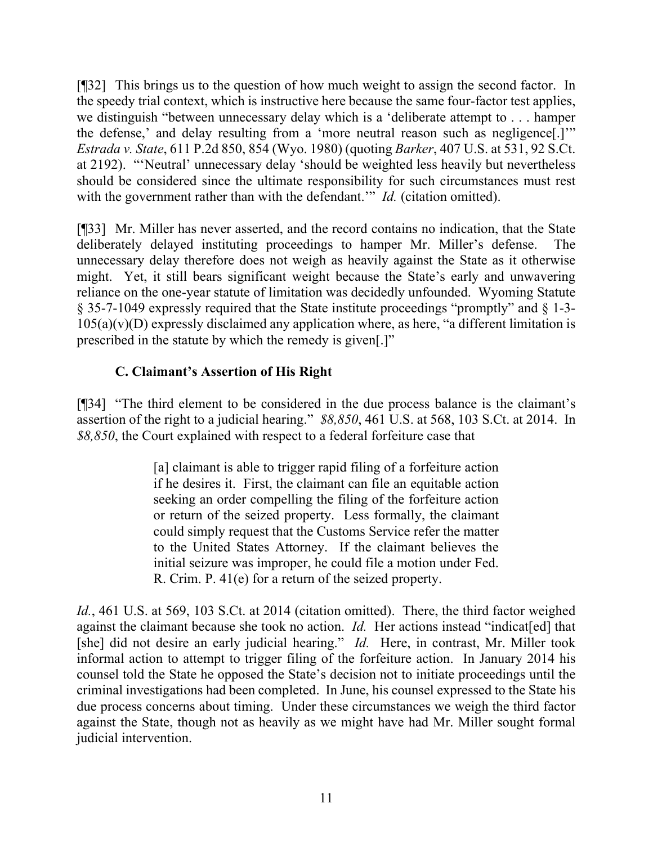[¶32] This brings us to the question of how much weight to assign the second factor. In the speedy trial context, which is instructive here because the same four-factor test applies, we distinguish "between unnecessary delay which is a 'deliberate attempt to . . . hamper the defense,' and delay resulting from a 'more neutral reason such as negligence[.]'" *Estrada v. State*, 611 P.2d 850, 854 (Wyo. 1980) (quoting *Barker*, 407 U.S. at 531, 92 S.Ct. at 2192). "'Neutral' unnecessary delay 'should be weighted less heavily but nevertheless should be considered since the ultimate responsibility for such circumstances must rest with the government rather than with the defendant." *Id.* (citation omitted).

[¶33] Mr. Miller has never asserted, and the record contains no indication, that the State deliberately delayed instituting proceedings to hamper Mr. Miller's defense. The unnecessary delay therefore does not weigh as heavily against the State as it otherwise might. Yet, it still bears significant weight because the State's early and unwavering reliance on the one-year statute of limitation was decidedly unfounded. Wyoming Statute § 35-7-1049 expressly required that the State institute proceedings "promptly" and § 1-3-  $105(a)(v)(D)$  expressly disclaimed any application where, as here, "a different limitation is prescribed in the statute by which the remedy is given[.]"

# **C. Claimant's Assertion of His Right**

[¶34] "The third element to be considered in the due process balance is the claimant's assertion of the right to a judicial hearing." *\$8,850*, 461 U.S. at 568, 103 S.Ct. at 2014. In *\$8,850*, the Court explained with respect to a federal forfeiture case that

> [a] claimant is able to trigger rapid filing of a forfeiture action if he desires it. First, the claimant can file an equitable action seeking an order compelling the filing of the forfeiture action or return of the seized property. Less formally, the claimant could simply request that the Customs Service refer the matter to the United States Attorney. If the claimant believes the initial seizure was improper, he could file a motion under Fed. R. Crim. P. 41(e) for a return of the seized property.

*Id.*, 461 U.S. at 569, 103 S.Ct. at 2014 (citation omitted). There, the third factor weighed against the claimant because she took no action. *Id.* Her actions instead "indicat[ed] that [she] did not desire an early judicial hearing." *Id.* Here, in contrast, Mr. Miller took informal action to attempt to trigger filing of the forfeiture action. In January 2014 his counsel told the State he opposed the State's decision not to initiate proceedings until the criminal investigations had been completed. In June, his counsel expressed to the State his due process concerns about timing. Under these circumstances we weigh the third factor against the State, though not as heavily as we might have had Mr. Miller sought formal judicial intervention.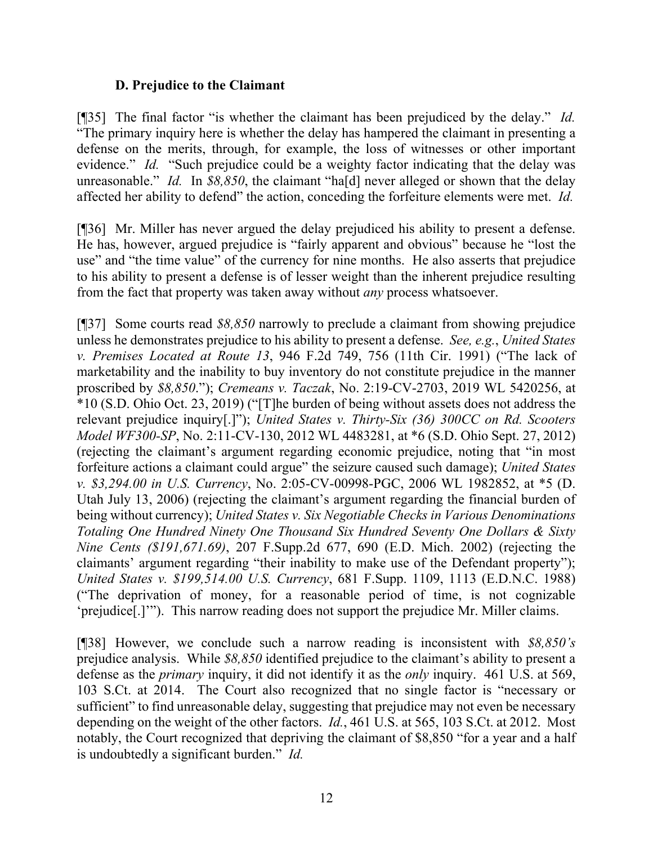### **D. Prejudice to the Claimant**

[¶35] The final factor "is whether the claimant has been prejudiced by the delay." *Id.* "The primary inquiry here is whether the delay has hampered the claimant in presenting a defense on the merits, through, for example, the loss of witnesses or other important evidence." *Id.* "Such prejudice could be a weighty factor indicating that the delay was unreasonable." *Id.* In *\$8,850*, the claimant "ha[d] never alleged or shown that the delay affected her ability to defend" the action, conceding the forfeiture elements were met. *Id.*

[¶36] Mr. Miller has never argued the delay prejudiced his ability to present a defense. He has, however, argued prejudice is "fairly apparent and obvious" because he "lost the use" and "the time value" of the currency for nine months. He also asserts that prejudice to his ability to present a defense is of lesser weight than the inherent prejudice resulting from the fact that property was taken away without *any* process whatsoever.

[¶37] Some courts read *\$8,850* narrowly to preclude a claimant from showing prejudice unless he demonstrates prejudice to his ability to present a defense. *See, e.g.*, *United States v. Premises Located at Route 13*, 946 F.2d 749, 756 (11th Cir. 1991) ("The lack of marketability and the inability to buy inventory do not constitute prejudice in the manner proscribed by *\$8,850*."); *Cremeans v. Taczak*, No. 2:19-CV-2703, 2019 WL 5420256, at \*10 (S.D. Ohio Oct. 23, 2019) ("[T]he burden of being without assets does not address the relevant prejudice inquiry[.]"); *United States v. Thirty-Six (36) 300CC on Rd. Scooters Model WF300-SP*, No. 2:11-CV-130, 2012 WL 4483281, at \*6 (S.D. Ohio Sept. 27, 2012) (rejecting the claimant's argument regarding economic prejudice, noting that "in most forfeiture actions a claimant could argue" the seizure caused such damage); *United States v. \$3,294.00 in U.S. Currency*, No. 2:05-CV-00998-PGC, 2006 WL 1982852, at \*5 (D. Utah July 13, 2006) (rejecting the claimant's argument regarding the financial burden of being without currency); *United States v. Six Negotiable Checks in Various Denominations Totaling One Hundred Ninety One Thousand Six Hundred Seventy One Dollars & Sixty Nine Cents (\$191,671.69)*, 207 F.Supp.2d 677, 690 (E.D. Mich. 2002) (rejecting the claimants' argument regarding "their inability to make use of the Defendant property"); *United States v. \$199,514.00 U.S. Currency*, 681 F.Supp. 1109, 1113 (E.D.N.C. 1988) ("The deprivation of money, for a reasonable period of time, is not cognizable 'prejudice[.]'"). This narrow reading does not support the prejudice Mr. Miller claims.

[¶38] However, we conclude such a narrow reading is inconsistent with *\$8,850's* prejudice analysis. While *\$8,850* identified prejudice to the claimant's ability to present a defense as the *primary* inquiry, it did not identify it as the *only* inquiry. 461 U.S. at 569, 103 S.Ct. at 2014. The Court also recognized that no single factor is "necessary or sufficient" to find unreasonable delay, suggesting that prejudice may not even be necessary depending on the weight of the other factors. *Id.*, 461 U.S. at 565, 103 S.Ct. at 2012. Most notably, the Court recognized that depriving the claimant of \$8,850 "for a year and a half is undoubtedly a significant burden." *Id.*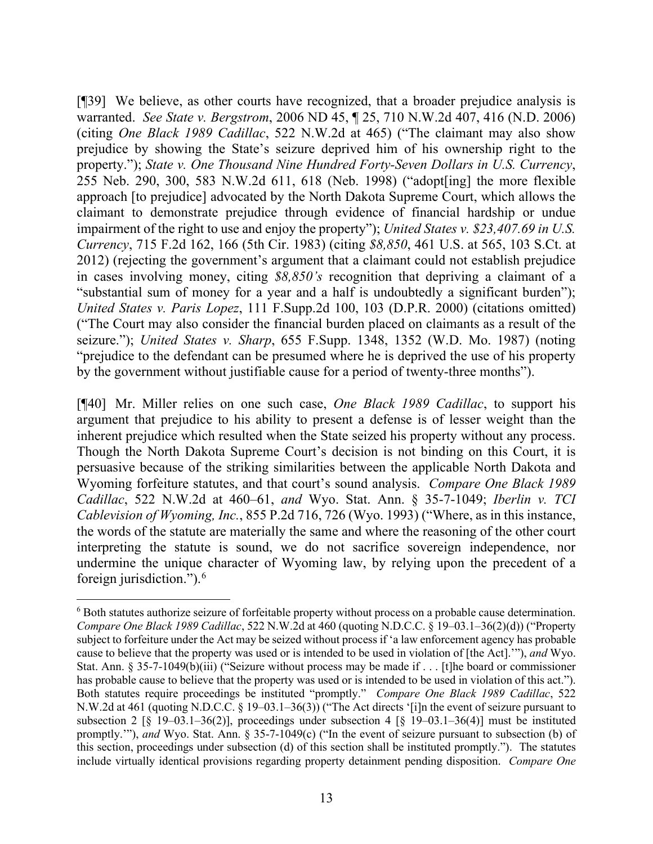[¶39] We believe, as other courts have recognized, that a broader prejudice analysis is warranted. *See State v. Bergstrom*, 2006 ND 45, ¶ 25, 710 N.W.2d 407, 416 (N.D. 2006) (citing *One Black 1989 Cadillac*, 522 N.W.2d at 465) ("The claimant may also show prejudice by showing the State's seizure deprived him of his ownership right to the property."); *State v. One Thousand Nine Hundred Forty-Seven Dollars in U.S. Currency*, 255 Neb. 290, 300, 583 N.W.2d 611, 618 (Neb. 1998) ("adopt[ing] the more flexible approach [to prejudice] advocated by the North Dakota Supreme Court, which allows the claimant to demonstrate prejudice through evidence of financial hardship or undue impairment of the right to use and enjoy the property"); *United States v. \$23,407.69 in U.S. Currency*, 715 F.2d 162, 166 (5th Cir. 1983) (citing *\$8,850*, 461 U.S. at 565, 103 S.Ct. at 2012) (rejecting the government's argument that a claimant could not establish prejudice in cases involving money, citing *\$8,850's* recognition that depriving a claimant of a "substantial sum of money for a year and a half is undoubtedly a significant burden"); *United States v. Paris Lopez*, 111 F.Supp.2d 100, 103 (D.P.R. 2000) (citations omitted) ("The Court may also consider the financial burden placed on claimants as a result of the seizure."); *United States v. Sharp*, 655 F.Supp. 1348, 1352 (W.D. Mo. 1987) (noting "prejudice to the defendant can be presumed where he is deprived the use of his property by the government without justifiable cause for a period of twenty-three months").

[¶40] Mr. Miller relies on one such case, *One Black 1989 Cadillac*, to support his argument that prejudice to his ability to present a defense is of lesser weight than the inherent prejudice which resulted when the State seized his property without any process. Though the North Dakota Supreme Court's decision is not binding on this Court, it is persuasive because of the striking similarities between the applicable North Dakota and Wyoming forfeiture statutes, and that court's sound analysis. *Compare One Black 1989 Cadillac*, 522 N.W.2d at 460–61, *and* Wyo. Stat. Ann. § 35-7-1049; *Iberlin v. TCI Cablevision of Wyoming, Inc.*, 855 P.2d 716, 726 (Wyo. 1993) ("Where, as in this instance, the words of the statute are materially the same and where the reasoning of the other court interpreting the statute is sound, we do not sacrifice sovereign independence, nor undermine the unique character of Wyoming law, by relying upon the precedent of a foreign jurisdiction.").[6](#page-13-0)

<span id="page-13-0"></span><sup>6</sup> Both statutes authorize seizure of forfeitable property without process on a probable cause determination. *Compare One Black 1989 Cadillac*, 522 N.W.2d at 460 (quoting N.D.C.C. § 19–03.1–36(2)(d)) ("Property subject to forfeiture under the Act may be seized without process if 'a law enforcement agency has probable cause to believe that the property was used or is intended to be used in violation of [the Act].'"), *and* Wyo. Stat. Ann. § 35-7-1049(b)(iii) ("Seizure without process may be made if . . . [t]he board or commissioner has probable cause to believe that the property was used or is intended to be used in violation of this act."). Both statutes require proceedings be instituted "promptly." *Compare One Black 1989 Cadillac*, 522 N.W.2d at 461 (quoting N.D.C.C. § 19–03.1–36(3)) ("The Act directs '[i]n the event of seizure pursuant to subsection 2 [§ 19–03.1–36(2)], proceedings under subsection 4 [§ 19–03.1–36(4)] must be instituted promptly.'"), *and* Wyo. Stat. Ann. § 35-7-1049(c) ("In the event of seizure pursuant to subsection (b) of this section, proceedings under subsection (d) of this section shall be instituted promptly."). The statutes include virtually identical provisions regarding property detainment pending disposition. *Compare One*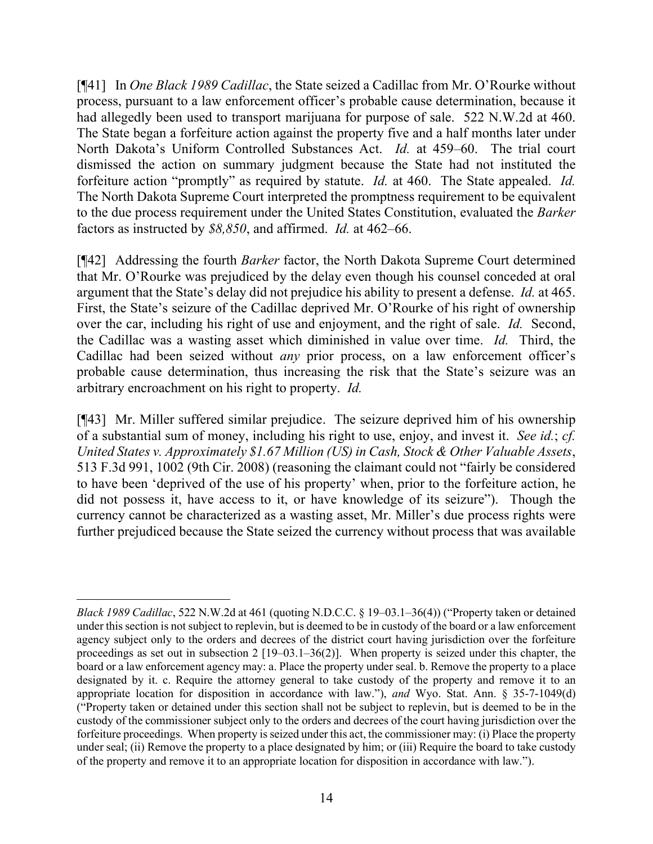[¶41] In *One Black 1989 Cadillac*, the State seized a Cadillac from Mr. O'Rourke without process, pursuant to a law enforcement officer's probable cause determination, because it had allegedly been used to transport marijuana for purpose of sale. 522 N.W.2d at 460. The State began a forfeiture action against the property five and a half months later under North Dakota's Uniform Controlled Substances Act. *Id.* at 459–60. The trial court dismissed the action on summary judgment because the State had not instituted the forfeiture action "promptly" as required by statute. *Id.* at 460. The State appealed. *Id.* The North Dakota Supreme Court interpreted the promptness requirement to be equivalent to the due process requirement under the United States Constitution, evaluated the *Barker*  factors as instructed by *\$8,850*, and affirmed. *Id.* at 462–66.

[¶42] Addressing the fourth *Barker* factor, the North Dakota Supreme Court determined that Mr. O'Rourke was prejudiced by the delay even though his counsel conceded at oral argument that the State's delay did not prejudice his ability to present a defense. *Id.* at 465. First, the State's seizure of the Cadillac deprived Mr. O'Rourke of his right of ownership over the car, including his right of use and enjoyment, and the right of sale. *Id.* Second, the Cadillac was a wasting asset which diminished in value over time. *Id.* Third, the Cadillac had been seized without *any* prior process, on a law enforcement officer's probable cause determination, thus increasing the risk that the State's seizure was an arbitrary encroachment on his right to property. *Id.*

[¶43] Mr. Miller suffered similar prejudice. The seizure deprived him of his ownership of a substantial sum of money, including his right to use, enjoy, and invest it. *See id.*; *cf. United States v. Approximately \$1.67 Million (US) in Cash, Stock & Other Valuable Assets*, 513 F.3d 991, 1002 (9th Cir. 2008) (reasoning the claimant could not "fairly be considered to have been 'deprived of the use of his property' when, prior to the forfeiture action, he did not possess it, have access to it, or have knowledge of its seizure"). Though the currency cannot be characterized as a wasting asset, Mr. Miller's due process rights were further prejudiced because the State seized the currency without process that was available

*Black 1989 Cadillac*, 522 N.W.2d at 461 (quoting N.D.C.C. § 19–03.1–36(4)) ("Property taken or detained under this section is not subject to replevin, but is deemed to be in custody of the board or a law enforcement agency subject only to the orders and decrees of the district court having jurisdiction over the forfeiture proceedings as set out in subsection 2 [19–03.1–36(2)]. When property is seized under this chapter, the board or a law enforcement agency may: a. Place the property under seal. b. Remove the property to a place designated by it. c. Require the attorney general to take custody of the property and remove it to an appropriate location for disposition in accordance with law."), *and* Wyo. Stat. Ann. § 35-7-1049(d) ("Property taken or detained under this section shall not be subject to replevin, but is deemed to be in the custody of the commissioner subject only to the orders and decrees of the court having jurisdiction over the forfeiture proceedings. When property is seized under this act, the commissioner may: (i) Place the property under seal; (ii) Remove the property to a place designated by him; or (iii) Require the board to take custody of the property and remove it to an appropriate location for disposition in accordance with law.").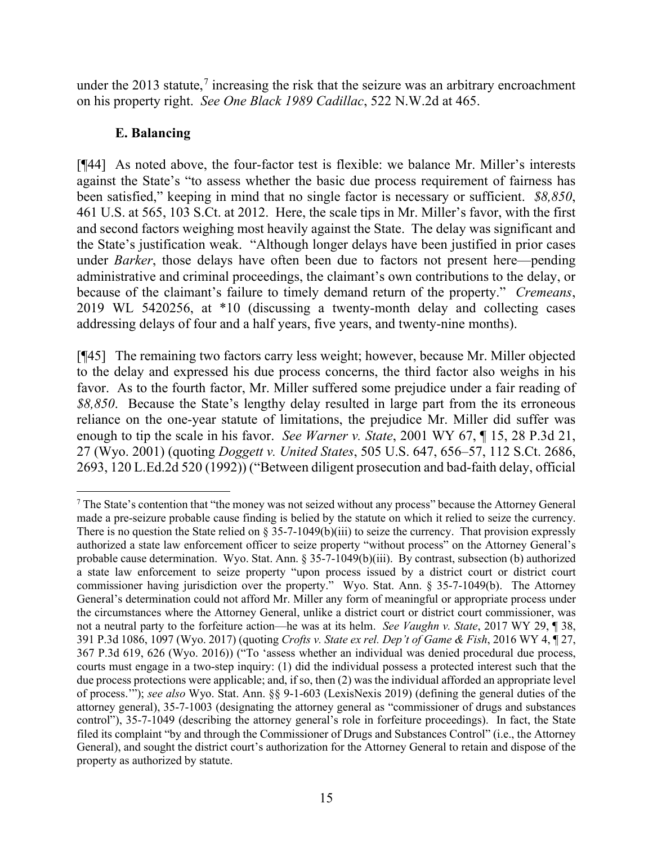under the 2013 statute,<sup>[7](#page-15-0)</sup> increasing the risk that the seizure was an arbitrary encroachment on his property right. *See One Black 1989 Cadillac*, 522 N.W.2d at 465.

# **E. Balancing**

[¶44] As noted above, the four-factor test is flexible: we balance Mr. Miller's interests against the State's "to assess whether the basic due process requirement of fairness has been satisfied," keeping in mind that no single factor is necessary or sufficient. *\$8,850*, 461 U.S. at 565, 103 S.Ct. at 2012. Here, the scale tips in Mr. Miller's favor, with the first and second factors weighing most heavily against the State. The delay was significant and the State's justification weak. "Although longer delays have been justified in prior cases under *Barker*, those delays have often been due to factors not present here—pending administrative and criminal proceedings, the claimant's own contributions to the delay, or because of the claimant's failure to timely demand return of the property." *Cremeans*, 2019 WL 5420256, at \*10 (discussing a twenty-month delay and collecting cases addressing delays of four and a half years, five years, and twenty-nine months).

[¶45] The remaining two factors carry less weight; however, because Mr. Miller objected to the delay and expressed his due process concerns, the third factor also weighs in his favor. As to the fourth factor, Mr. Miller suffered some prejudice under a fair reading of *\$8,850*. Because the State's lengthy delay resulted in large part from the its erroneous reliance on the one-year statute of limitations, the prejudice Mr. Miller did suffer was enough to tip the scale in his favor. *See Warner v. State*, 2001 WY 67, ¶ 15, 28 P.3d 21, 27 (Wyo. 2001) (quoting *Doggett v. United States*, 505 U.S. 647, 656–57, 112 S.Ct. 2686, 2693, 120 L.Ed.2d 520 (1992)) ("Between diligent prosecution and bad-faith delay, official

<span id="page-15-0"></span> $7$  The State's contention that "the money was not seized without any process" because the Attorney General made a pre-seizure probable cause finding is belied by the statute on which it relied to seize the currency. There is no question the State relied on  $\S 35$ -7-1049(b)(iii) to seize the currency. That provision expressly authorized a state law enforcement officer to seize property "without process" on the Attorney General's probable cause determination. Wyo. Stat. Ann. § 35-7-1049(b)(iii). By contrast, subsection (b) authorized a state law enforcement to seize property "upon process issued by a district court or district court commissioner having jurisdiction over the property." Wyo. Stat. Ann. § 35-7-1049(b). The Attorney General's determination could not afford Mr. Miller any form of meaningful or appropriate process under the circumstances where the Attorney General, unlike a district court or district court commissioner, was not a neutral party to the forfeiture action—he was at its helm. *See Vaughn v. State*, 2017 WY 29, ¶ 38, 391 P.3d 1086, 1097 (Wyo. 2017) (quoting *Crofts v. State ex rel. Dep't of Game & Fish*, 2016 WY 4, ¶ 27, 367 P.3d 619, 626 (Wyo. 2016)) ("To 'assess whether an individual was denied procedural due process, courts must engage in a two-step inquiry: (1) did the individual possess a protected interest such that the due process protections were applicable; and, if so, then (2) was the individual afforded an appropriate level of process.'"); *see also* Wyo. Stat. Ann. §§ 9-1-603 (LexisNexis 2019) (defining the general duties of the attorney general), 35-7-1003 (designating the attorney general as "commissioner of drugs and substances control"), 35-7-1049 (describing the attorney general's role in forfeiture proceedings). In fact, the State filed its complaint "by and through the Commissioner of Drugs and Substances Control" (i.e., the Attorney General), and sought the district court's authorization for the Attorney General to retain and dispose of the property as authorized by statute.